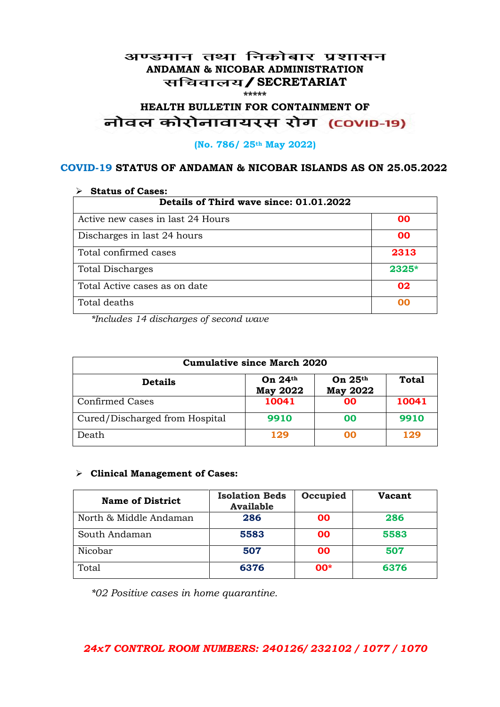#### अण्डमान तथा निकोबार प्रशासन **ANDAMAN & NICOBAR ADMINISTRATION /SECRETARIAT \*\*\*\*\***

# **HEALTH BULLETIN FOR CONTAINMENT OF**  नोवल कोरोनावायरस रोग (COVID-19)

#### **(No. 786/ 25th May 2022)**

#### **COVID-19 STATUS OF ANDAMAN & NICOBAR ISLANDS AS ON 25.05.2022**

| <b>Status of Cases:</b>                 |         |  |
|-----------------------------------------|---------|--|
| Details of Third wave since: 01.01.2022 |         |  |
| Active new cases in last 24 Hours       | 00      |  |
| Discharges in last 24 hours             | 00      |  |
| Total confirmed cases                   | 2313    |  |
| <b>Total Discharges</b>                 | $2325*$ |  |
| Total Active cases as on date           | 02      |  |
| Total deaths                            | oo      |  |

*\*Includes 14 discharges of second wave*

| <b>Cumulative since March 2020</b> |                              |                              |              |
|------------------------------------|------------------------------|------------------------------|--------------|
| <b>Details</b>                     | On $24th$<br><b>May 2022</b> | On $25th$<br><b>May 2022</b> | <b>Total</b> |
| <b>Confirmed Cases</b>             | 10041                        | 00                           | 10041        |
| Cured/Discharged from Hospital     | 9910                         | 00                           | 9910         |
| Death                              | 129                          | 00                           | 129          |

#### **Clinical Management of Cases:**

| <b>Name of District</b> | <b>Isolation Beds</b><br><b>Available</b> | Occupied  | Vacant |
|-------------------------|-------------------------------------------|-----------|--------|
| North & Middle Andaman  | 286                                       | <b>OO</b> | 286    |
| South Andaman           | 5583                                      | <b>OO</b> | 5583   |
| Nicobar                 | 507                                       | <b>OO</b> | 507    |
| Total                   | 6376                                      | $00*$     | 6376   |

*\*02 Positive cases in home quarantine.*

#### *24x7 CONTROL ROOM NUMBERS: 240126/ 232102 / 1077 / 1070*